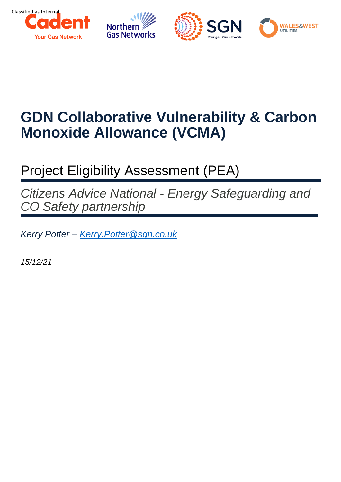

# **GDN Collaborative Vulnerability & Carbon Monoxide Allowance (VCMA)**

# Project Eligibility Assessment (PEA)

*Citizens Advice National - Energy Safeguarding and CO Safety partnership*

*Kerry Potter – [Kerry.Potter@sgn.co.uk](mailto:Kerry.Potter@sgn.co.uk)*

*15/12/21*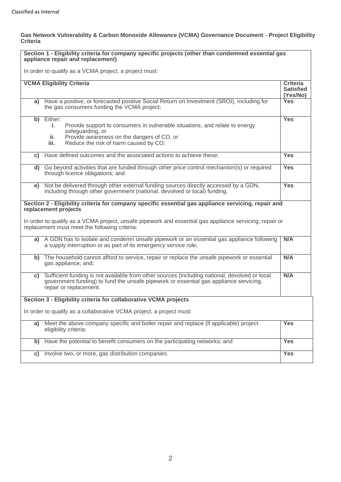#### **Gas Network Vulnerability & Carbon Monoxide Allowance (VCMA) Governance Document - Project Eligibility Criteria**

|    | Section 1 - Eligibility criteria for company specific projects (other than condemned essential gas<br>appliance repair and replacement)                                                                                                                                                 |                                                 |  |  |  |
|----|-----------------------------------------------------------------------------------------------------------------------------------------------------------------------------------------------------------------------------------------------------------------------------------------|-------------------------------------------------|--|--|--|
|    | In order to qualify as a VCMA project, a project must:                                                                                                                                                                                                                                  |                                                 |  |  |  |
|    | <b>VCMA Eligibility Criteria</b>                                                                                                                                                                                                                                                        | <b>Criteria</b><br><b>Satisfied</b><br>(Yes/No) |  |  |  |
|    | a) Have a positive, or forecasted positive Social Return on Investment (SROI), including for<br>the gas consumers funding the VCMA project;                                                                                                                                             | <b>Yes</b>                                      |  |  |  |
|    | b) Either:<br>Provide support to consumers in vulnerable situations, and relate to energy<br>j.<br>safeguarding, or<br>Provide awareness on the dangers of CO, or<br>ii.<br>iii.<br>Reduce the risk of harm caused by CO;                                                               | <b>Yes</b>                                      |  |  |  |
|    | c) Have defined outcomes and the associated actions to achieve these;                                                                                                                                                                                                                   | <b>Yes</b>                                      |  |  |  |
|    | d) Go beyond activities that are funded through other price control mechanism(s) or required<br>through licence obligations; and                                                                                                                                                        | <b>Yes</b>                                      |  |  |  |
| e) | Not be delivered through other external funding sources directly accessed by a GDN,<br>including through other government (national, devolved or local) funding.                                                                                                                        | <b>Yes</b>                                      |  |  |  |
|    | Section 2 - Eligibility criteria for company specific essential gas appliance servicing, repair and<br>replacement projects<br>In order to qualify as a VCMA project, unsafe pipework and essential gas appliance servicing, repair or<br>replacement must meet the following criteria: |                                                 |  |  |  |
| a) | A GDN has to isolate and condemn unsafe pipework or an essential gas appliance following<br>a supply interruption or as part of its emergency service role;                                                                                                                             | N/A                                             |  |  |  |
|    | b) The household cannot afford to service, repair or replace the unsafe pipework or essential<br>gas appliance; and;                                                                                                                                                                    | N/A                                             |  |  |  |
| C) | Sufficient funding is not available from other sources (including national, devolved or local<br>government funding) to fund the unsafe pipework or essential gas appliance servicing,<br>repair or replacement.                                                                        | N/A                                             |  |  |  |
|    | Section 3 - Eligibility criteria for collaborative VCMA projects                                                                                                                                                                                                                        |                                                 |  |  |  |
|    | In order to qualify as a collaborative VCMA project, a project must:                                                                                                                                                                                                                    |                                                 |  |  |  |
| a) | Meet the above company specific and boiler repair and replace (if applicable) project<br>eligibility criteria;                                                                                                                                                                          | <b>Yes</b>                                      |  |  |  |
| b) | Have the potential to benefit consumers on the participating networks; and                                                                                                                                                                                                              | <b>Yes</b>                                      |  |  |  |
| C) | Involve two, or more, gas distribution companies.                                                                                                                                                                                                                                       | <b>Yes</b>                                      |  |  |  |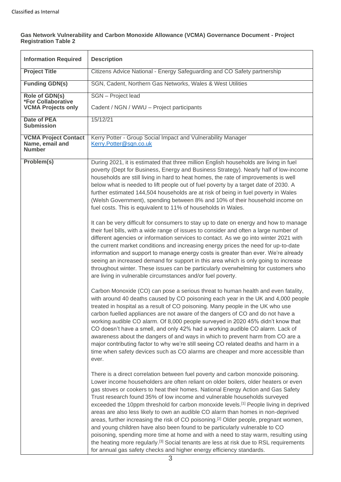#### **Gas Network Vulnerability and Carbon Monoxide Allowance (VCMA) Governance Document - Project Registration Table 2**

| <b>Information Required</b><br><b>Description</b>               |                                                                                                                                                                                                                                                                                                                                                                                                                                                                                                                                                                                                                                                                                                                                                                                                                                                                                                                                                                                                                                                                                                                                                  |  |  |  |  |
|-----------------------------------------------------------------|--------------------------------------------------------------------------------------------------------------------------------------------------------------------------------------------------------------------------------------------------------------------------------------------------------------------------------------------------------------------------------------------------------------------------------------------------------------------------------------------------------------------------------------------------------------------------------------------------------------------------------------------------------------------------------------------------------------------------------------------------------------------------------------------------------------------------------------------------------------------------------------------------------------------------------------------------------------------------------------------------------------------------------------------------------------------------------------------------------------------------------------------------|--|--|--|--|
| <b>Project Title</b>                                            | Citizens Advice National - Energy Safeguarding and CO Safety partnership                                                                                                                                                                                                                                                                                                                                                                                                                                                                                                                                                                                                                                                                                                                                                                                                                                                                                                                                                                                                                                                                         |  |  |  |  |
| <b>Funding GDN(s)</b>                                           | SGN, Cadent, Northern Gas Networks, Wales & West Utilities                                                                                                                                                                                                                                                                                                                                                                                                                                                                                                                                                                                                                                                                                                                                                                                                                                                                                                                                                                                                                                                                                       |  |  |  |  |
| Role of GDN(s)<br><b>*For Collaborative</b>                     | <b>SGN</b> - Project lead                                                                                                                                                                                                                                                                                                                                                                                                                                                                                                                                                                                                                                                                                                                                                                                                                                                                                                                                                                                                                                                                                                                        |  |  |  |  |
| <b>VCMA Projects only</b>                                       | Cadent / NGN / WWU - Project participants                                                                                                                                                                                                                                                                                                                                                                                                                                                                                                                                                                                                                                                                                                                                                                                                                                                                                                                                                                                                                                                                                                        |  |  |  |  |
| <b>Date of PEA</b><br><b>Submission</b>                         | 15/12/21                                                                                                                                                                                                                                                                                                                                                                                                                                                                                                                                                                                                                                                                                                                                                                                                                                                                                                                                                                                                                                                                                                                                         |  |  |  |  |
| <b>VCMA Project Contact</b><br>Name, email and<br><b>Number</b> | Kerry Potter - Group Social Impact and Vulnerability Manager<br>Kerry.Potter@sgn.co.uk                                                                                                                                                                                                                                                                                                                                                                                                                                                                                                                                                                                                                                                                                                                                                                                                                                                                                                                                                                                                                                                           |  |  |  |  |
| Problem(s)                                                      | During 2021, it is estimated that three million English households are living in fuel<br>poverty (Dept for Business, Energy and Business Strategy). Nearly half of low-income<br>households are still living in hard to heat homes, the rate of improvements is well<br>below what is needed to lift people out of fuel poverty by a target date of 2030. A<br>further estimated 144,504 households are at risk of being in fuel poverty in Wales<br>(Welsh Government), spending between 8% and 10% of their household income on<br>fuel costs. This is equivalent to 11% of households in Wales.<br>It can be very difficult for consumers to stay up to date on energy and how to manage<br>their fuel bills, with a wide range of issues to consider and often a large number of<br>different agencies or information services to contact. As we go into winter 2021 with<br>the current market conditions and increasing energy prices the need for up-to-date<br>information and support to manage energy costs is greater than ever. We're already<br>seeing an increased demand for support in this area which is only going to increase |  |  |  |  |
|                                                                 | throughout winter. These issues can be particularly overwhelming for customers who<br>are living in vulnerable circumstances and/or fuel poverty.<br>Carbon Monoxide (CO) can pose a serious threat to human health and even fatality,<br>with around 40 deaths caused by CO poisoning each year in the UK and 4,000 people<br>treated in hospital as a result of CO poisoning. Many people in the UK who use<br>carbon fuelled appliances are not aware of the dangers of CO and do not have a<br>working audible CO alarm. Of 8,000 people surveyed in 2020 45% didn't know that<br>CO doesn't have a smell, and only 42% had a working audible CO alarm. Lack of<br>awareness about the dangers of and ways in which to prevent harm from CO are a<br>major contributing factor to why we're still seeing CO related deaths and harm in a<br>time when safety devices such as CO alarms are cheaper and more accessible than<br>ever.                                                                                                                                                                                                         |  |  |  |  |
|                                                                 | There is a direct correlation between fuel poverty and carbon monoxide poisoning.<br>Lower income householders are often reliant on older boilers, older heaters or even<br>gas stoves or cookers to heat their homes. National Energy Action and Gas Safety<br>Trust research found 35% of low income and vulnerable households surveyed<br>exceeded the 10ppm threshold for carbon monoxide levels. <sup>[1]</sup> People living in deprived<br>areas are also less likely to own an audible CO alarm than homes in non-deprived<br>areas, further increasing the risk of CO poisoning. <sup>[2]</sup> Older people, pregnant women,<br>and young children have also been found to be particularly vulnerable to CO<br>poisoning, spending more time at home and with a need to stay warm, resulting using<br>the heating more regularly. <sup>[3]</sup> Social tenants are less at risk due to RSL requirements<br>for annual gas safety checks and higher energy efficiency standards.                                                                                                                                                       |  |  |  |  |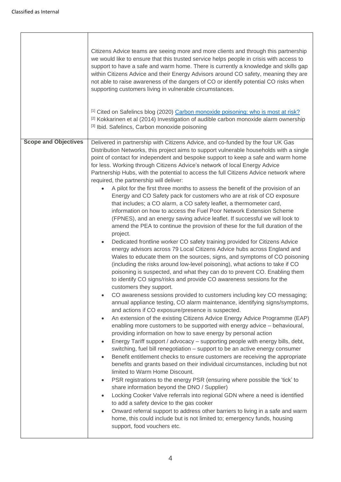$\overline{1}$ 

|                             | Citizens Advice teams are seeing more and more clients and through this partnership<br>we would like to ensure that this trusted service helps people in crisis with access to<br>support to have a safe and warm home. There is currently a knowledge and skills gap<br>within Citizens Advice and their Energy Advisors around CO safety, meaning they are<br>not able to raise awareness of the dangers of CO or identify potential CO risks when<br>supporting customers living in vulnerable circumstances.<br>[1] Cited on Safelincs blog (2020) Carbon monoxide poisoning: who is most at risk?<br>[2] Kokkarinen et al (2014) Investigation of audible carbon monoxide alarm ownership<br>[3] Ibid. Safelincs, Carbon monoxide poisoning                                                                                                                                                                                                                                                                                                                                                                                                                                                                                                                                                                                                                                                                                                                                                                                                                                                                                                                                                                                                                                                                                                                                                                                                                                                                                                                                                                                                                                                                                                                                                                                                                                                                                                                                                                                                                                                                                                                                                                                                                                                                               |
|-----------------------------|--------------------------------------------------------------------------------------------------------------------------------------------------------------------------------------------------------------------------------------------------------------------------------------------------------------------------------------------------------------------------------------------------------------------------------------------------------------------------------------------------------------------------------------------------------------------------------------------------------------------------------------------------------------------------------------------------------------------------------------------------------------------------------------------------------------------------------------------------------------------------------------------------------------------------------------------------------------------------------------------------------------------------------------------------------------------------------------------------------------------------------------------------------------------------------------------------------------------------------------------------------------------------------------------------------------------------------------------------------------------------------------------------------------------------------------------------------------------------------------------------------------------------------------------------------------------------------------------------------------------------------------------------------------------------------------------------------------------------------------------------------------------------------------------------------------------------------------------------------------------------------------------------------------------------------------------------------------------------------------------------------------------------------------------------------------------------------------------------------------------------------------------------------------------------------------------------------------------------------------------------------------------------------------------------------------------------------------------------------------------------------------------------------------------------------------------------------------------------------------------------------------------------------------------------------------------------------------------------------------------------------------------------------------------------------------------------------------------------------------------------------------------------------------------------------------------------------|
| <b>Scope and Objectives</b> | Delivered in partnership with Citizens Advice, and co-funded by the four UK Gas<br>Distribution Networks, this project aims to support vulnerable households with a single<br>point of contact for independent and bespoke support to keep a safe and warm home<br>for less. Working through Citizens Advice's network of local Energy Advice<br>Partnership Hubs, with the potential to access the full Citizens Advice network where<br>required, the partnership will deliver:<br>A pilot for the first three months to assess the benefit of the provision of an<br>$\bullet$<br>Energy and CO Safety pack for customers who are at risk of CO exposure<br>that includes; a CO alarm, a CO safety leaflet, a thermometer card,<br>information on how to access the Fuel Poor Network Extension Scheme<br>(FPNES), and an energy saving advice leaflet. If successful we will look to<br>amend the PEA to continue the provision of these for the full duration of the<br>project.<br>Dedicated frontline worker CO safety training provided for Citizens Advice<br>energy advisors across 79 Local Citizens Advice hubs across England and<br>Wales to educate them on the sources, signs, and symptoms of CO poisoning<br>(including the risks around low-level poisoning), what actions to take if CO<br>poisoning is suspected, and what they can do to prevent CO. Enabling them<br>to identify CO signs/risks and provide CO awareness sessions for the<br>customers they support.<br>CO awareness sessions provided to customers including key CO messaging;<br>$\bullet$<br>annual appliance testing, CO alarm maintenance, identifying signs/symptoms,<br>and actions if CO exposure/presence is suspected.<br>An extension of the existing Citizens Advice Energy Advice Programme (EAP)<br>$\bullet$<br>enabling more customers to be supported with energy advice - behavioural,<br>providing information on how to save energy by personal action<br>Energy Tariff support / advocacy - supporting people with energy bills, debt,<br>$\bullet$<br>switching, fuel bill renegotiation - support to be an active energy consumer<br>Benefit entitlement checks to ensure customers are receiving the appropriate<br>$\bullet$<br>benefits and grants based on their individual circumstances, including but not<br>limited to Warm Home Discount.<br>PSR registrations to the energy PSR (ensuring where possible the 'tick' to<br>$\bullet$<br>share information beyond the DNO / Supplier)<br>Locking Cooker Valve referrals into regional GDN where a need is identified<br>$\bullet$<br>to add a safety device to the gas cooker<br>Onward referral support to address other barriers to living in a safe and warm<br>$\bullet$<br>home, this could include but is not limited to; emergency funds, housing |

٦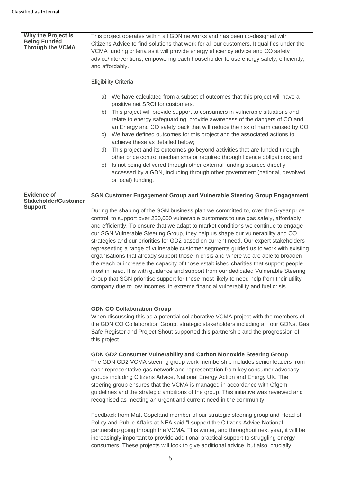| Why the Project is<br><b>Being Funded</b><br><b>Through the VCMA</b> | This project operates within all GDN networks and has been co-designed with<br>Citizens Advice to find solutions that work for all our customers. It qualifies under the<br>VCMA funding criteria as it will provide energy efficiency advice and CO safety<br>advice/interventions, empowering each householder to use energy safely, efficiently,<br>and affordably.<br><b>Eligibility Criteria</b>                                                                                                                                                                                                                                                                                                                                                                                                                                                                                                                                                                                                                                                              |
|----------------------------------------------------------------------|--------------------------------------------------------------------------------------------------------------------------------------------------------------------------------------------------------------------------------------------------------------------------------------------------------------------------------------------------------------------------------------------------------------------------------------------------------------------------------------------------------------------------------------------------------------------------------------------------------------------------------------------------------------------------------------------------------------------------------------------------------------------------------------------------------------------------------------------------------------------------------------------------------------------------------------------------------------------------------------------------------------------------------------------------------------------|
|                                                                      | a) We have calculated from a subset of outcomes that this project will have a<br>positive net SROI for customers.<br>b) This project will provide support to consumers in vulnerable situations and<br>relate to energy safeguarding, provide awareness of the dangers of CO and<br>an Energy and CO safety pack that will reduce the risk of harm caused by CO<br>c) We have defined outcomes for this project and the associated actions to<br>achieve these as detailed below;<br>d) This project and its outcomes go beyond activities that are funded through<br>other price control mechanisms or required through licence obligations; and<br>Is not being delivered through other external funding sources directly<br>e)<br>accessed by a GDN, including through other government (national, devolved<br>or local) funding.                                                                                                                                                                                                                               |
| <b>Evidence of</b><br><b>Stakeholder/Customer</b><br><b>Support</b>  | SGN Customer Engagement Group and Vulnerable Steering Group Engagement<br>During the shaping of the SGN business plan we committed to, over the 5-year price<br>control, to support over 250,000 vulnerable customers to use gas safely, affordably<br>and efficiently. To ensure that we adapt to market conditions we continue to engage<br>our SGN Vulnerable Steering Group, they help us shape our vulnerability and CO<br>strategies and our priorities for GD2 based on current need. Our expert stakeholders<br>representing a range of vulnerable customer segments guided us to work with existing<br>organisations that already support those in crisis and where we are able to broaden<br>the reach or increase the capacity of those established charities that support people<br>most in need. It is with guidance and support from our dedicated Vulnerable Steering<br>Group that SGN prioritise support for those most likely to need help from their utility<br>company due to low incomes, in extreme financial vulnerability and fuel crisis. |
|                                                                      | <b>GDN CO Collaboration Group</b><br>When discussing this as a potential collaborative VCMA project with the members of<br>the GDN CO Collaboration Group, strategic stakeholders including all four GDNs, Gas<br>Safe Register and Project Shout supported this partnership and the progression of<br>this project.                                                                                                                                                                                                                                                                                                                                                                                                                                                                                                                                                                                                                                                                                                                                               |
|                                                                      | GDN GD2 Consumer Vulnerability and Carbon Monoxide Steering Group<br>The GDN GD2 VCMA steering group work membership includes senior leaders from<br>each representative gas network and representation from key consumer advocacy<br>groups including Citizens Advice, National Energy Action and Energy UK. The<br>steering group ensures that the VCMA is managed in accordance with Ofgem<br>guidelines and the strategic ambitions of the group. This initiative was reviewed and<br>recognised as meeting an urgent and current need in the community.                                                                                                                                                                                                                                                                                                                                                                                                                                                                                                       |
|                                                                      | Feedback from Matt Copeland member of our strategic steering group and Head of<br>Policy and Public Affairs at NEA said "I support the Citizens Advice National<br>partnership going through the VCMA. This winter, and throughout next year, it will be<br>increasingly important to provide additional practical support to struggling energy<br>consumers. These projects will look to give additional advice, but also, crucially,                                                                                                                                                                                                                                                                                                                                                                                                                                                                                                                                                                                                                             |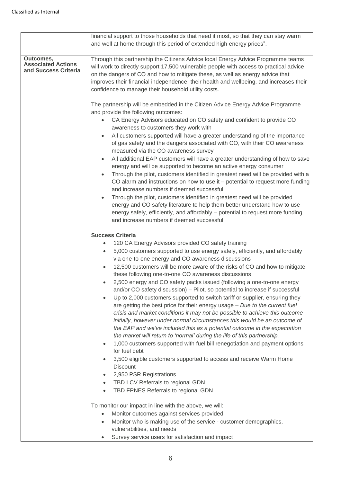|                                                                | financial support to those households that need it most, so that they can stay warm                                                                                                                                                                                                                                                                                                                                                                                                                                                                                                                                                                                                                                                                                                                                                                                                                                                                                                                                                                                                                                                                                                                                                                                                                                                                                                                                                                                                                                                                                                                                                                                                                   |
|----------------------------------------------------------------|-------------------------------------------------------------------------------------------------------------------------------------------------------------------------------------------------------------------------------------------------------------------------------------------------------------------------------------------------------------------------------------------------------------------------------------------------------------------------------------------------------------------------------------------------------------------------------------------------------------------------------------------------------------------------------------------------------------------------------------------------------------------------------------------------------------------------------------------------------------------------------------------------------------------------------------------------------------------------------------------------------------------------------------------------------------------------------------------------------------------------------------------------------------------------------------------------------------------------------------------------------------------------------------------------------------------------------------------------------------------------------------------------------------------------------------------------------------------------------------------------------------------------------------------------------------------------------------------------------------------------------------------------------------------------------------------------------|
|                                                                | and well at home through this period of extended high energy prices".                                                                                                                                                                                                                                                                                                                                                                                                                                                                                                                                                                                                                                                                                                                                                                                                                                                                                                                                                                                                                                                                                                                                                                                                                                                                                                                                                                                                                                                                                                                                                                                                                                 |
| Outcomes,<br><b>Associated Actions</b><br>and Success Criteria | Through this partnership the Citizens Advice local Energy Advice Programme teams<br>will work to directly support 17,500 vulnerable people with access to practical advice<br>on the dangers of CO and how to mitigate these, as well as energy advice that<br>improves their financial independence, their health and wellbeing, and increases their<br>confidence to manage their household utility costs.<br>The partnership will be embedded in the Citizen Advice Energy Advice Programme<br>and provide the following outcomes:<br>CA Energy Advisors educated on CO safety and confident to provide CO<br>$\bullet$<br>awareness to customers they work with<br>All customers supported will have a greater understanding of the importance<br>$\bullet$<br>of gas safety and the dangers associated with CO, with their CO awareness<br>measured via the CO awareness survey<br>All additional EAP customers will have a greater understanding of how to save<br>$\bullet$<br>energy and will be supported to become an active energy consumer<br>Through the pilot, customers identified in greatest need will be provided with a<br>$\bullet$<br>CO alarm and instructions on how to use it - potential to request more funding<br>and increase numbers if deemed successful<br>Through the pilot, customers identified in greatest need will be provided<br>$\bullet$<br>energy and CO safety literature to help them better understand how to use<br>energy safely, efficiently, and affordably - potential to request more funding<br>and increase numbers if deemed successful                                                                                                          |
|                                                                | <b>Success Criteria</b><br>120 CA Energy Advisors provided CO safety training<br>$\bullet$<br>5,000 customers supported to use energy safely, efficiently, and affordably<br>$\bullet$<br>via one-to-one energy and CO awareness discussions<br>12,500 customers will be more aware of the risks of CO and how to mitigate<br>$\bullet$<br>these following one-to-one CO awareness discussions<br>2,500 energy and CO safety packs issued (following a one-to-one energy<br>$\bullet$<br>and/or CO safety discussion) - Pilot, so potential to increase if successful<br>Up to 2,000 customers supported to switch tariff or supplier, ensuring they<br>$\bullet$<br>are getting the best price for their energy usage $-$ Due to the current fuel<br>crisis and market conditions it may not be possible to achieve this outcome<br>initially, however under normal circumstances this would be an outcome of<br>the EAP and we've included this as a potential outcome in the expectation<br>the market will return to 'normal' during the life of this partnership.<br>1,000 customers supported with fuel bill renegotiation and payment options<br>$\bullet$<br>for fuel debt<br>3,500 eligible customers supported to access and receive Warm Home<br>$\bullet$<br><b>Discount</b><br>2,950 PSR Registrations<br>$\bullet$<br>TBD LCV Referrals to regional GDN<br>$\bullet$<br>TBD FPNES Referrals to regional GDN<br>To monitor our impact in line with the above, we will:<br>Monitor outcomes against services provided<br>$\bullet$<br>Monitor who is making use of the service - customer demographics,<br>vulnerabilities, and needs<br>Survey service users for satisfaction and impact |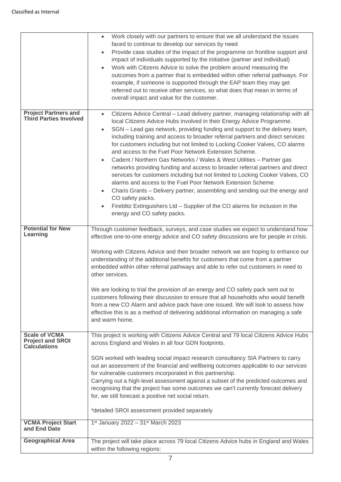|                                                 | Work closely with our partners to ensure that we all understand the issues<br>$\bullet$                                                       |  |  |  |  |
|-------------------------------------------------|-----------------------------------------------------------------------------------------------------------------------------------------------|--|--|--|--|
|                                                 | faced to continue to develop our services by need                                                                                             |  |  |  |  |
|                                                 | Provide case studies of the impact of the programme on frontline support and<br>$\bullet$                                                     |  |  |  |  |
|                                                 | impact of individuals supported by the initiative (partner and individual)                                                                    |  |  |  |  |
|                                                 | Work with Citizens Advice to solve the problem around measuring the                                                                           |  |  |  |  |
|                                                 | outcomes from a partner that is embedded within other referral pathways. For                                                                  |  |  |  |  |
|                                                 | example, if someone is supported through the EAP team they may get                                                                            |  |  |  |  |
|                                                 | referred out to receive other services, so what does that mean in terms of                                                                    |  |  |  |  |
|                                                 | overall impact and value for the customer.                                                                                                    |  |  |  |  |
|                                                 |                                                                                                                                               |  |  |  |  |
| <b>Project Partners and</b>                     | Citizens Advice Central - Lead delivery partner, managing relationship with all<br>$\bullet$                                                  |  |  |  |  |
| <b>Third Parties Involved</b>                   | local Citizens Advice Hubs involved in their Energy Advice Programme.                                                                         |  |  |  |  |
|                                                 | SGN - Lead gas network, providing funding and support to the delivery team,                                                                   |  |  |  |  |
|                                                 | including training and access to broader referral partners and direct services                                                                |  |  |  |  |
|                                                 | for customers including but not limited to Locking Cooker Valves, CO alarms                                                                   |  |  |  |  |
|                                                 | and access to the Fuel Poor Network Extension Scheme.                                                                                         |  |  |  |  |
|                                                 | Cadent / Northern Gas Networks / Wales & West Utilities - Partner gas                                                                         |  |  |  |  |
|                                                 | networks providing funding and access to broader referral partners and direct                                                                 |  |  |  |  |
|                                                 | services for customers including but not limited to Locking Cooker Valves, CO<br>alarms and access to the Fuel Poor Network Extension Scheme. |  |  |  |  |
|                                                 | Charis Grants - Delivery partner, assembling and sending out the energy and                                                                   |  |  |  |  |
|                                                 | $\bullet$<br>CO safety packs.                                                                                                                 |  |  |  |  |
|                                                 | Fireblitz Extinguishers Ltd - Supplier of the CO alarms for inclusion in the                                                                  |  |  |  |  |
|                                                 | energy and CO safety packs.                                                                                                                   |  |  |  |  |
|                                                 |                                                                                                                                               |  |  |  |  |
| <b>Potential for New</b>                        | Through customer feedback, surveys, and case studies we expect to understand how                                                              |  |  |  |  |
| Learning                                        | effective one-to-one energy advice and CO safety discussions are for people in crisis.                                                        |  |  |  |  |
|                                                 |                                                                                                                                               |  |  |  |  |
|                                                 | Working with Citizens Advice and their broader network we are hoping to enhance our                                                           |  |  |  |  |
|                                                 | understanding of the additional benefits for customers that come from a partner                                                               |  |  |  |  |
|                                                 | embedded within other referral pathways and able to refer out customers in need to<br>other services.                                         |  |  |  |  |
|                                                 |                                                                                                                                               |  |  |  |  |
|                                                 | We are looking to trial the provision of an energy and CO safety pack sent out to                                                             |  |  |  |  |
|                                                 | customers following their discussion to ensure that all households who would benefit                                                          |  |  |  |  |
|                                                 | from a new CO Alarm and advice pack have one issued. We will look to assess how                                                               |  |  |  |  |
|                                                 | effective this is as a method of delivering additional information on managing a safe                                                         |  |  |  |  |
|                                                 | and warm home.                                                                                                                                |  |  |  |  |
|                                                 |                                                                                                                                               |  |  |  |  |
| <b>Scale of VCMA</b><br><b>Project and SROI</b> | This project is working with Citizens Advice Central and 79 local Citizens Advice Hubs                                                        |  |  |  |  |
| <b>Calculations</b>                             | across England and Wales in all four GDN footprints.                                                                                          |  |  |  |  |
|                                                 | SGN worked with leading social impact research consultancy SIA Partners to carry                                                              |  |  |  |  |
|                                                 | out an assessment of the financial and wellbeing outcomes applicable to our services                                                          |  |  |  |  |
|                                                 | for vulnerable customers incorporated in this partnership.                                                                                    |  |  |  |  |
|                                                 | Carrying out a high-level assessment against a subset of the predicted outcomes and                                                           |  |  |  |  |
|                                                 | recognising that the project has some outcomes we can't currently forecast delivery                                                           |  |  |  |  |
|                                                 | for, we still forecast a positive net social return.                                                                                          |  |  |  |  |
|                                                 |                                                                                                                                               |  |  |  |  |
|                                                 | *detailed SROI assessment provided separately                                                                                                 |  |  |  |  |
| <b>VCMA Project Start</b>                       | 1st January 2022 - 31st March 2023                                                                                                            |  |  |  |  |
| and End Date                                    |                                                                                                                                               |  |  |  |  |
| <b>Geographical Area</b>                        | The project will take place across 79 local Citizens Advice hubs in England and Wales                                                         |  |  |  |  |
|                                                 | within the following regions:                                                                                                                 |  |  |  |  |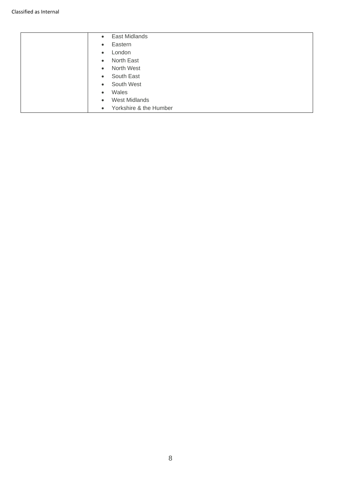| East Midlands<br>$\bullet$          |
|-------------------------------------|
| Eastern<br>$\bullet$                |
| London<br>$\bullet$                 |
| North East<br>$\bullet$             |
| North West<br>$\bullet$             |
| South East<br>$\bullet$             |
| South West<br>$\bullet$             |
| Wales<br>$\bullet$                  |
| <b>West Midlands</b><br>$\bullet$   |
| Yorkshire & the Humber<br>$\bullet$ |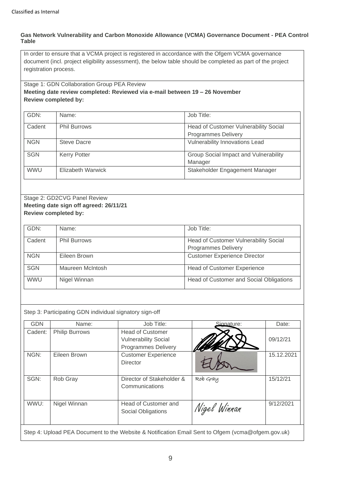#### **Gas Network Vulnerability and Carbon Monoxide Allowance (VCMA) Governance Document - PEA Control Table**

In order to ensure that a VCMA project is registered in accordance with the Ofgem VCMA governance document (incl. project eligibility assessment), the below table should be completed as part of the project registration process.

## Stage 1: GDN Collaboration Group PEA Review **Meeting date review completed: Reviewed via e-mail between 19 – 26 November Review completed by:**

| GDN:       | Name:               | Job Title:                                   |
|------------|---------------------|----------------------------------------------|
| Cadent     | <b>Phil Burrows</b> | <b>Head of Customer Vulnerability Social</b> |
|            |                     | <b>Programmes Delivery</b>                   |
| <b>NGN</b> | Steve Dacre         | Vulnerability Innovations Lead               |
| <b>SGN</b> | <b>Kerry Potter</b> | Group Social Impact and Vulnerability        |
|            |                     | Manager                                      |
| <b>WWU</b> | Elizabeth Warwick   | Stakeholder Engagement Manager               |

## Stage 2: GD2CVG Panel Review **Meeting date sign off agreed: 26/11/21 Review completed by:**

| GDN:       | Name:               | Job Title:                              |
|------------|---------------------|-----------------------------------------|
| Cadent     | <b>Phil Burrows</b> | Head of Customer Vulnerability Social   |
|            |                     | <b>Programmes Delivery</b>              |
| <b>NGN</b> | Eileen Brown        | <b>Customer Experience Director</b>     |
| <b>SGN</b> | Maureen McIntosh    | <b>Head of Customer Experience</b>      |
| <b>WWU</b> | Nigel Winnan        | Head of Customer and Social Obligations |

|  | Step 3: Participating GDN individual signatory sign-off |  |  |
|--|---------------------------------------------------------|--|--|
|  |                                                         |  |  |

| <b>GDN</b> | Name:                 | Job Title:                                             | Signature:   | Date:      |
|------------|-----------------------|--------------------------------------------------------|--------------|------------|
| Cadent:    | <b>Philip Burrows</b> | <b>Head of Customer</b><br><b>Vulnerability Social</b> |              | 09/12/21   |
|            |                       | <b>Programmes Delivery</b>                             |              |            |
| NGN:       | Eileen Brown          | <b>Customer Experience</b><br>Director                 |              | 15.12.2021 |
| SGN:       | Rob Gray              | Director of Stakeholder &<br>Communications            | Rob Gray     | 15/12/21   |
| WWU:       | Nigel Winnan          | Head of Customer and<br>Social Obligations             | Nigel Winnan | 9/12/2021  |
|            |                       |                                                        |              |            |

Step 4: Upload PEA Document to the Website & Notification Email Sent to Ofgem (vcma@ofgem.gov.uk)